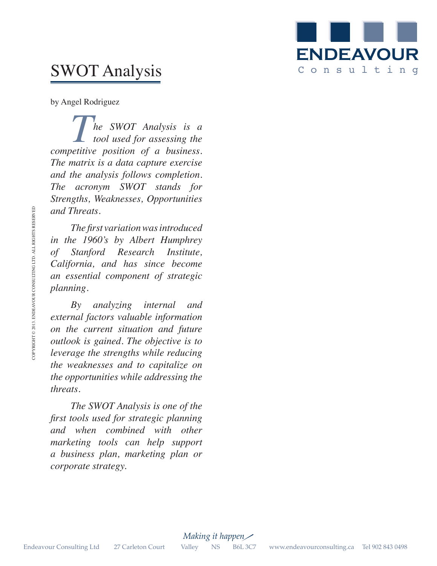

# SWOT Analysis

by Angel Rodriguez

**The SWOT Analysis is a** *tool used for assessing the tool used for assessing the competitive position of a business. The matrix is a data capture exercise and the analysis follows completion. The acronym SWOT stands for Strengths, Weaknesses, Opportunities and Threats.* 

*The first variation was introduced in the 1960's by Albert Humphrey of Stanford Research Institute, California, and has since become an essential component of strategic planning.* 

*By analyzing internal and external factors valuable information on the current situation and future outlook is gained. The objective is to leverage the strengths while reducing the weaknesses and to capitalize on the opportunities while addressing the threats.*  and Threats.<br>
in the [960's by Albert Humphrey<br>
of Stanford Research Institute,<br>
California, and has since become<br>
an essential component of strategic<br>
planning.<br>
By analyzing internal and<br>
external factors valuable infor

*The SWOT Analysis is one of the first tools used for strategic planning and when combined with other marketing tools can help support a business plan, marketing plan or corporate strategy.*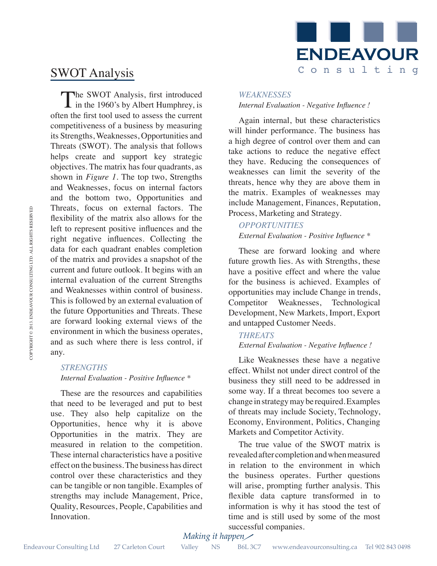

# SWOT Analysis

The SWOT Analysis, first introduced<br>in the 1960's by Albert Humphrey, is often the first tool used to assess the current competitiveness of a business by measuring its Strengths, Weaknesses, Opportunities and Threats (SWOT). The analysis that follows helps create and support key strategic objectives. The matrix has four quadrants, as shown in *Figure 1*. The top two, Strengths and Weaknesses, focus on internal factors and the bottom two, Opportunities and Threats, focus on external factors. The flexibility of the matrix also allows for the left to represent positive influences and the right negative influences. Collecting the data for each quadrant enables completion of the matrix and provides a snapshot of the current and future outlook. It begins with an internal evaluation of the current Strengths and Weaknesses within control of business. This is followed by an external evaluation of the future Opportunities and Threats. These are forward looking external views of the environment in which the business operates, and as such where there is less control, if any. Entertain, Toots on external factors. The metric is the corporation consulting that for the property positive influences and the computation Court Valley of the matrix and provides a sampleot of the "function" Court Valle

#### *STRENGTHS Internal Evaluation - Positive Influence \**

These are the resources and capabilities that need to be leveraged and put to best use. They also help capitalize on the Opportunities, hence why it is above Opportunities in the matrix. They are measured in relation to the competition. These internal characteristics have a positive effect on the business. The business has direct control over these characteristics and they can be tangible or non tangible. Examples of strengths may include Management, Price, Quality, Resources, People, Capabilities and Innovation.

#### *WEAKNESSES Internal Evaluation - Negative Influence !*

Again internal, but these characteristics will hinder performance. The business has a high degree of control over them and can take actions to reduce the negative effect they have. Reducing the consequences of weaknesses can limit the severity of the threats, hence why they are above them in the matrix. Examples of weaknesses may include Management, Finances, Reputation, Process, Marketing and Strategy.

### *OPPORTUNITIES*

*External Evaluation - Positive Influence \**

These are forward looking and where future growth lies. As with Strengths, these have a positive effect and where the value for the business is achieved. Examples of opportunities may include Change in trends, Competitor Weaknesses, Technological Development, New Markets, Import, Export and untapped Customer Needs.

#### *THREATS External Evaluation - Negative Influence !*

Like Weaknesses these have a negative effect. Whilst not under direct control of the business they still need to be addressed in some way. If a threat becomes too severe a change in strategy may be required. Examples of threats may include Society, Technology, Economy, Environment, Politics, Changing Markets and Competitor Activity.

The true value of the SWOT matrix is revealed after completion and when measured in relation to the environment in which the business operates. Further questions will arise, prompting further analysis. This flexible data capture transformed in to information is why it has stood the test of time and is still used by some of the most successful companies.